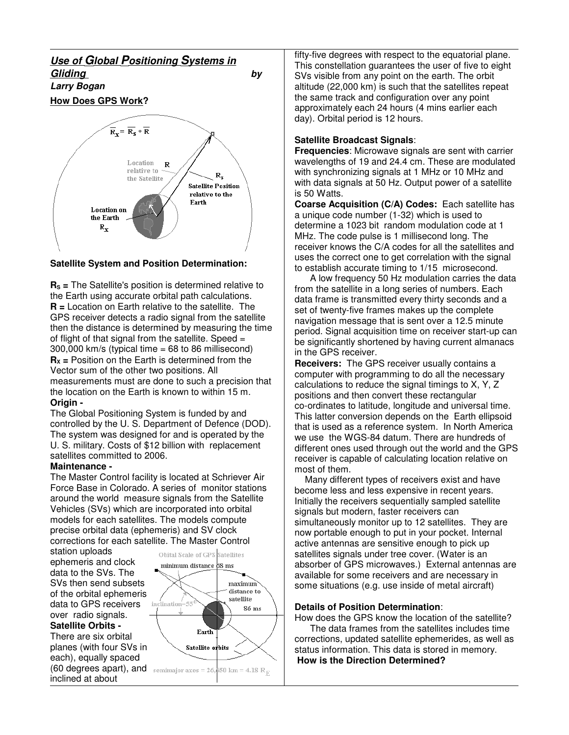## *Use of Global Positioning Systems in Gliding by Larry Bogan* **How Does GPS Work?**  $\overline{\mathbf{R}}_{\mathbf{x}} = \overline{\mathbf{R}}_{\mathbf{S}} + \overline{\mathbf{R}}$ Location  $\mathbf R$ relative to  $R_{s}$ the Satellite **Satellite Position** relative to the

## **Satellite System and Position Determination:**

Location on the Earth  $\mathbf{R}_{\mathbf{X}}$ 

Earth

**R<sup>S</sup> =** The Satellite's position is determined relative to the Earth using accurate orbital path calculations. **R =** Location on Earth relative to the satellite. The GPS receiver detects a radio signal from the satellite then the distance is determined by measuring the time of flight of that signal from the satellite. Speed =  $300,000$  km/s (typical time = 68 to 86 millisecond) **R<sup>X</sup> =** Position on the Earth is determined from the Vector sum of the other two positions. All measurements must are done to such a precision that the location on the Earth is known to within 15 m. **Origin -**

The Global Positioning System is funded by and controlled by the U. S. Department of Defence (DOD). The system was designed for and is operated by the U. S. military. Costs of \$12 billion with replacement satellites committed to 2006.

#### **Maintenance -**

The Master Control facility is located at Schriever Air Force Base in Colorado. A series of monitor stations around the world measure signals from the Satellite Vehicles (SVs) which are incorporated into orbital models for each satellites. The models compute precise orbital data (ephemeris) and SV clock corrections for each satellite. The Master Control

station uploads ephemeris and clock data to the SVs. The SVs then send subsets of the orbital ephemeris data to GPS receivers over radio signals.

**Satellite Orbits -**

There are six orbital planes (with four SVs in each), equally spaced inclined at about



fifty-five degrees with respect to the equatorial plane. This constellation guarantees the user of five to eight SVs visible from any point on the earth. The orbit altitude (22,000 km) is such that the satellites repeat the same track and configuration over any point approximately each 24 hours (4 mins earlier each day). Orbital period is 12 hours.

### **Satellite Broadcast Signals**:

**Frequencies**: Microwave signals are sent with carrier wavelengths of 19 and 24.4 cm. These are modulated with synchronizing signals at 1 MHz or 10 MHz and with data signals at 50 Hz. Output power of a satellite is 50 Watts.

**Coarse Acquisition (C/A) Codes:** Each satellite has a unique code number (1-32) which is used to determine a 1023 bit random modulation code at 1 MHz. The code pulse is 1 millisecond long. The receiver knows the C/A codes for all the satellites and uses the correct one to get correlation with the signal to establish accurate timing to 1/15 microsecond.

A low frequency 50 Hz modulation carries the data from the satellite in a long series of numbers. Each data frame is transmitted every thirty seconds and a set of twenty-five frames makes up the complete navigation message that is sent over a 12.5 minute period. Signal acquisition time on receiver start-up can be significantly shortened by having current almanacs in the GPS receiver.

**Receivers:** The GPS receiver usually contains a computer with programming to do all the necessary calculations to reduce the signal timings to X, Y, Z positions and then convert these rectangular co-ordinates to latitude, longitude and universal time. This latter conversion depends on the Earth ellipsoid that is used as a reference system. In North America we use the WGS-84 datum. There are hundreds of different ones used through out the world and the GPS receiver is capable of calculating location relative on most of them.

Many different types of receivers exist and have become less and less expensive in recent years. Initially the receivers sequentially sampled satellite signals but modern, faster receivers can simultaneously monitor up to 12 satellites. They are now portable enough to put in your pocket. Internal active antennas are sensitive enough to pick up satellites signals under tree cover. (Water is an absorber of GPS microwaves.) External antennas are available for some receivers and are necessary in some situations (e.g. use inside of metal aircraft)

### **Details of Position Determination**:

How does the GPS know the location of the satellite? The data frames from the satellites includes time corrections, updated satellite ephemerides, as well as status information. This data is stored in memory. **How is the Direction Determined?**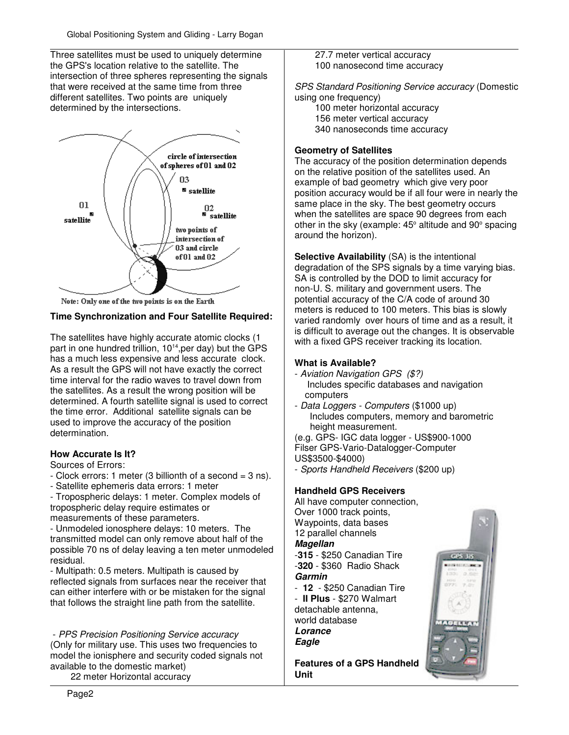Three satellites must be used to uniquely determine the GPS's location relative to the satellite. The intersection of three spheres representing the signals that were received at the same time from three different satellites. Two points are uniquely determined by the intersections.



Note: Only one of the two points is on the Earth

## **Time Synchronization and Four Satellite Required:**

The satellites have highly accurate atomic clocks (1 part in one hundred trillion, 10 14 ,per day) but the GPS has a much less expensive and less accurate clock. As a result the GPS will not have exactly the correct time interval for the radio waves to travel down from the satellites. As a result the wrong position will be determined. A fourth satellite signal is used to correct the time error. Additional satellite signals can be used to improve the accuracy of the position determination.

### **How Accurate Is It?**

Sources of Errors:

- Clock errors: 1 meter (3 billionth of a second = 3 ns).
- Satellite ephemeris data errors: 1 meter

- Tropospheric delays: 1 meter. Complex models of tropospheric delay require estimates or measurements of these parameters.

- Unmodeled ionosphere delays: 10 meters. The transmitted model can only remove about half of the possible 70 ns of delay leaving a ten meter unmodeled residual.

- Multipath: 0.5 meters. Multipath is caused by reflected signals from surfaces near the receiver that can either interfere with or be mistaken for the signal that follows the straight line path from the satellite.

- *PPS Precision Positioning Service accuracy* (Only for military use. This uses two frequencies to model the ionisphere and security coded signals not available to the domestic market)

22 meter Horizontal accuracy

27.7 meter vertical accuracy 100 nanosecond time accuracy

*SPS Standard Positioning Service accuracy* (Domestic using one frequency)

100 meter horizontal accuracy 156 meter vertical accuracy 340 nanoseconds time accuracy

## **Geometry of Satellites**

The accuracy of the position determination depends on the relative position of the satellites used. An example of bad geometry which give very poor position accuracy would be if all four were in nearly the same place in the sky. The best geometry occurs when the satellites are space 90 degrees from each other in the sky (example: 45° altitude and 90° spacing around the horizon).

**Selective Availability** (SA) is the intentional degradation of the SPS signals by a time varying bias. SA is controlled by the DOD to limit accuracy for non-U. S. military and government users. The potential accuracy of the C/A code of around 30 meters is reduced to 100 meters. This bias is slowly varied randomly over hours of time and as a result, it is difficult to average out the changes. It is observable with a fixed GPS receiver tracking its location.

## **What is Available?**

- *Aviation Navigation GPS (\$?)* Includes specific databases and navigation computers
- *Data Loggers - Computers* (\$1000 up) Includes computers, memory and barometric height measurement.

(e.g. GPS- IGC data logger - US\$900-1000 Filser GPS-Vario-Datalogger-Computer US\$3500-\$4000)

- *Sports Handheld Receivers* (\$200 up)

## **Handheld GPS Receivers**

All have computer connection, Over 1000 track points, Waypoints, data bases 12 parallel channels *Magellan* -**315** - \$250 Canadian Tire -**320** - \$360 Radio Shack *Garmin* - **12** - \$250 Canadian Tire - **II Plus** - \$270 Walmart detachable antenna, world database *Lorance Eagle*

**Features of a GPS Handheld Unit**

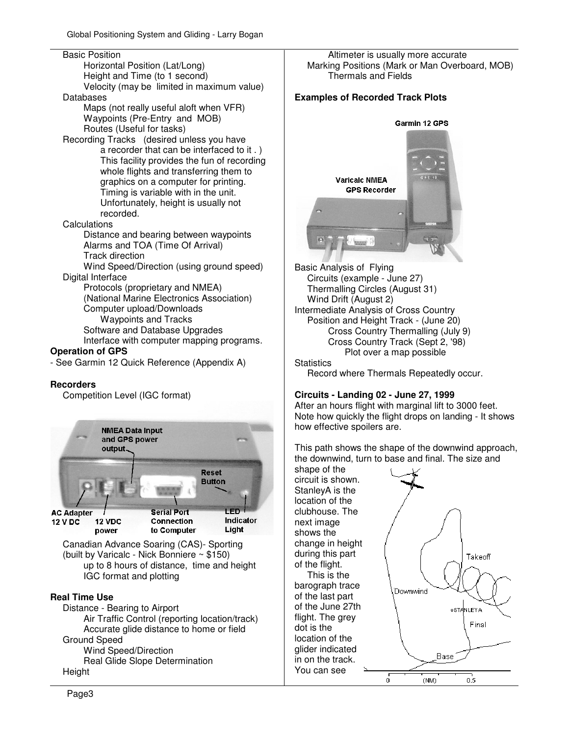| <b>Basic Position</b>                        |  |
|----------------------------------------------|--|
| Horizontal Position (Lat/Long)               |  |
| Height and Time (to 1 second)                |  |
| Velocity (may be limited in maximum value)   |  |
| Databases                                    |  |
| Maps (not really useful aloft when VFR)      |  |
| Waypoints (Pre-Entry and MOB)                |  |
| Routes (Useful for tasks)                    |  |
| Recording Tracks (desired unless you have    |  |
| a recorder that can be interfaced to it.)    |  |
| This facility provides the fun of recording  |  |
| whole flights and transferring them to       |  |
| graphics on a computer for printing.         |  |
| Timing is variable with in the unit.         |  |
| Unfortunately, height is usually not         |  |
| recorded.                                    |  |
| Calculations                                 |  |
| Distance and bearing between waypoints       |  |
| Alarms and TOA (Time Of Arrival)             |  |
| Track direction                              |  |
| Wind Speed/Direction (using ground speed)    |  |
| Digital Interface                            |  |
| Protocols (proprietary and NMEA)             |  |
| (National Marine Electronics Association)    |  |
| Computer upload/Downloads                    |  |
| <b>Waypoints and Tracks</b>                  |  |
| Software and Database Upgrades               |  |
| Interface with computer mapping programs.    |  |
| <b>Operation of GPS</b>                      |  |
| - See Garmin 12 Quick Reference (Appendix A) |  |
|                                              |  |

### **Recorders**

Competition Level (IGC format)



## **Real Time Use**

Distance - Bearing to Airport Air Traffic Control (reporting location/track) Accurate glide distance to home or field Ground Speed Wind Speed/Direction Real Glide Slope Determination Height

Altimeter is usually more accurate Marking Positions (Mark or Man Overboard, MOB) Thermals and Fields

## **Examples of Recorded Track Plots**



Wind Drift (August 2) Intermediate Analysis of Cross Country Position and Height Track - (June 20) Cross Country Thermalling (July 9) Cross Country Track (Sept 2, '98) Plot over a map possible

#### **Statistics**

Record where Thermals Repeatedly occur.

# **Circuits - Landing 02 - June 27, 1999**

After an hours flight with marginal lift to 3000 feet. Note how quickly the flight drops on landing - It shows how effective spoilers are.

This path shows the shape of the downwind approach, the downwind, turn to base and final. The size and

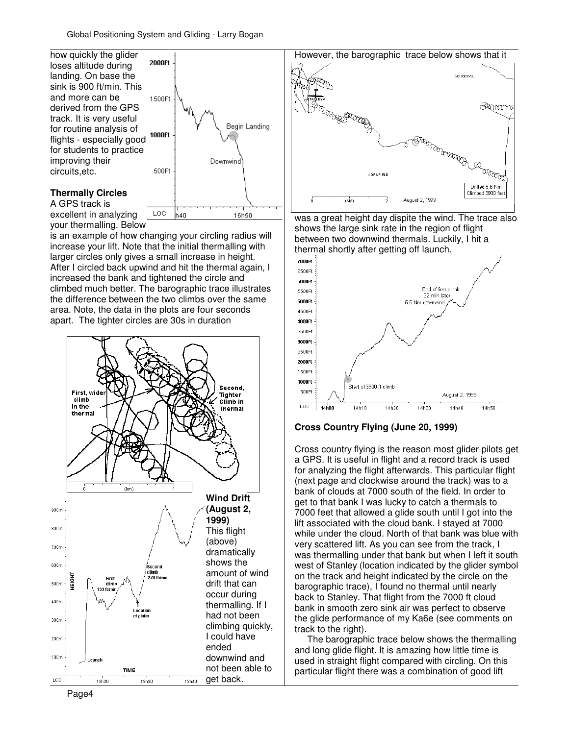

## **Thermally Circles**

excellent in analyzing your thermalling. Below

is an example of how changing your circling radius will increase your lift. Note that the initial thermalling with larger circles only gives a small increase in height. After I circled back upwind and hit the thermal again, I increased the bank and tightened the circle and climbed much better. The barographic trace illustrates the difference between the two climbs over the same area. Note, the data in the plots are four seconds apart. The tighter circles are 30s in duration





was a great height day dispite the wind. The trace also shows the large sink rate in the region of flight between two downwind thermals. Luckily, I hit a thermal shortly after getting off launch.



### **Cross Country Flying (June 20, 1999)**

Cross country flying is the reason most glider pilots get a GPS. It is useful in flight and a record track is used for analyzing the flight afterwards. This particular flight (next page and clockwise around the track) was to a bank of clouds at 7000 south of the field. In order to get to that bank I was lucky to catch a thermals to 7000 feet that allowed a glide south until I got into the lift associated with the cloud bank. I stayed at 7000 while under the cloud. North of that bank was blue with very scattered lift. As you can see from the track, I was thermalling under that bank but when I left it south west of Stanley (location indicated by the glider symbol on the track and height indicated by the circle on the barographic trace), I found no thermal until nearly back to Stanley. That flight from the 7000 ft cloud bank in smooth zero sink air was perfect to observe the glide performance of my Ka6e (see comments on track to the right).

The barographic trace below shows the thermalling and long glide flight. It is amazing how little time is used in straight flight compared with circling. On this particular flight there was a combination of good lift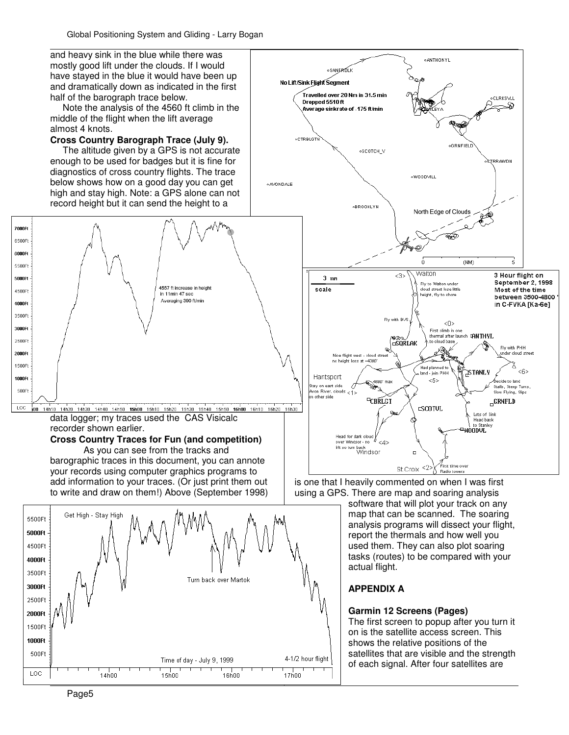and heavy sink in the blue while there was mostly good lift under the clouds. If I would have stayed in the blue it would have been up and dramatically down as indicated in the first half of the barograph trace below.

Note the analysis of the 4560 ft climb in the middle of the flight when the lift average almost 4 knots.

#### **Cross Country Barograph Trace (July 9).**

The altitude given by a GPS is not accurate enough to be used for badges but it is fine for diagnostics of cross country flights. The trace below shows how on a good day you can get high and stay high. Note: a GPS alone can not record height but it can send the height to a



data logger; my traces used the CAS Visicalc recorder shown earlier.

#### **Cross Country Traces for Fun (and competition)**

As you can see from the tracks and barographic traces in this document, you can annote your records using computer graphics programs to add information to your traces. (Or just print them out to write and draw on them!) Above (September 1998)





is one that I heavily commented on when I was first using a GPS. There are map and soaring analysis

software that will plot your track on any map that can be scanned. The soaring analysis programs will dissect your flight, report the thermals and how well you used them. They can also plot soaring tasks (routes) to be compared with your actual flight.

## **APPENDIX A**

#### **Garmin 12 Screens (Pages)**

The first screen to popup after you turn it on is the satellite access screen. This shows the relative positions of the satellites that are visible and the strength of each signal. After four satellites are

Page5